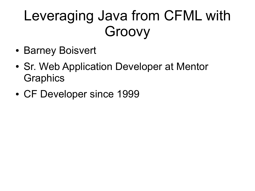## Leveraging Java from CFML with Groovy

- Barney Boisvert
- Sr. Web Application Developer at Mentor **Graphics**
- CF Developer since 1999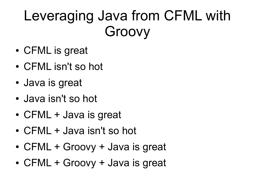## Leveraging Java from CFML with Groovy

- CFML is great
- CFML isn't so hot
- Java is great
- Java isn't so hot
- CFML + Java is great
- CFML + Java isn't so hot
- CFML + Groovy + Java is great
- CFML + Groovy + Java is great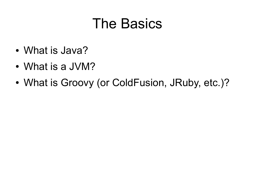### The Basics

- What is Java?
- What is a JVM?
- What is Groovy (or ColdFusion, JRuby, etc.)?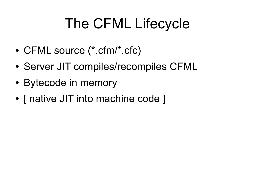# The CFML Lifecycle

- CFML source (\*.cfm/\*.cfc)
- Server JIT compiles/recompiles CFML
- Bytecode in memory
- [ native JIT into machine code ]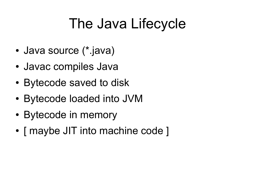## The Java Lifecycle

- Java source (\*.java)
- Javac compiles Java
- Bytecode saved to disk
- Bytecode loaded into JVM
- Bytecode in memory
- [ maybe JIT into machine code ]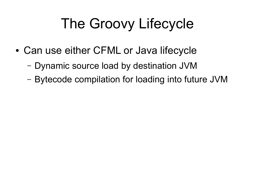# The Groovy Lifecycle

- Can use either CFML or Java lifecycle
	- Dynamic source load by destination JVM
	- Bytecode compilation for loading into future JVM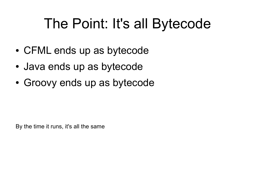## The Point: It's all Bytecode

- CFML ends up as bytecode
- Java ends up as bytecode
- Groovy ends up as bytecode

By the time it runs, it's all the same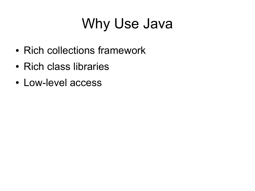# Why Use Java

- Rich collections framework
- Rich class libraries
- Low-level access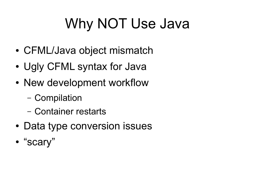# Why NOT Use Java

- CFML/Java object mismatch
- Ugly CFML syntax for Java
- New development workflow
	- Compilation
	- Container restarts
- Data type conversion issues
- "scary"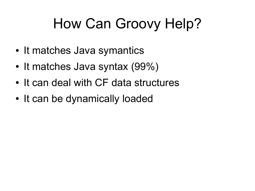# How Can Groovy Help?

- It matches Java symantics
- It matches Java syntax (99%)
- It can deal with CF data structures
- It can be dynamically loaded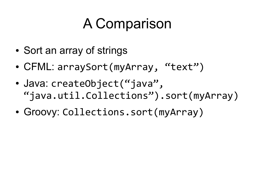## A Comparison

- Sort an array of strings
- CFML: arraySort(myArray, "text")
- Java: createObject("java", "java.util.Collections").sort(myArray)
- Groovy: Collections.sort(myArray)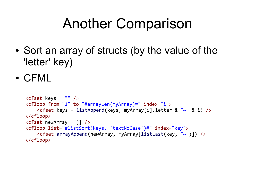### Another Comparison

- Sort an array of structs (by the value of the 'letter' key)
- CFML

```
<cfset keys = "" />
<cfloop from="1" to="#arrayLen(myArray)#" index="i">
    <cfset keys = listAppend(keys, myArray[i].letter & "~" & i) />
</cfloop>
<cfset newArray = \lceil \rceil />
<cfloop list="#listSort(keys, 'textNoCase')#" index="key">
    <cfset arrayAppend(newArray, myArray[listLast(key, "~")]) />
</cfloop>
```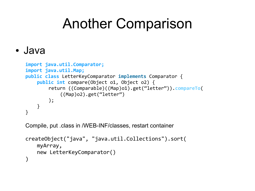### Another Comparison

#### ● Java

```
import java.util.Comparator;
import java.util.Map;
public class LetterKeyComparator implements Comparator {
    public int compare(Object o1, Object o2) {
        return ((Comparable)((Map)o1).get("letter")).compareTo(
            ((Map)o2).get("letter")
        );
    }
}
```
Compile, put .class in /WEB-INF/classes, restart container

```
createObject("java", "java.util.Collections").sort(
   myArray,
   new LetterKeyComparator()
)
```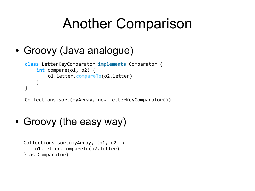### Another Comparison

#### • Groovy (Java analogue)

```
class LetterKeyComparator implements Comparator {
    int compare(o1, o2) {
        o1.letter.compareTo(o2.letter)
    }
}
```
Collections.sort(myArray, new LetterKeyComparator())

#### • Groovy (the easy way)

```
Collections.sort(myArray, {o1, o2 ->
    o1.letter.compareTo(o2.letter)
} as Comparator)
```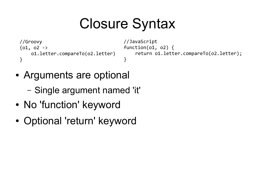## Closure Syntax

```
//Groovy
{01, 02 -}o1.letter.compareTo(o2.letter)
}
```

```
//JavaScript
function(o1, o2) {
    return o1.letter.compareTo(o2.letter);
}
```
- Arguments are optional
	- Single argument named 'it'
- No 'function' keyword
- Optional 'return' keyword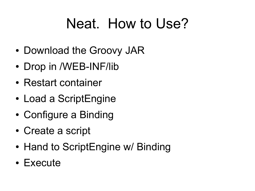### Neat. How to Use?

- Download the Groovy JAR
- Drop in /WEB-INF/lib
- Restart container
- Load a ScriptEngine
- Configure a Binding
- Create a script
- Hand to ScriptEngine w/ Binding
- Execute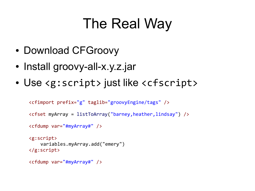## The Real Way

- Download CFGroovy
- Install groovy-all-x.y.z.jar
- Use <g:script> just like <cfscript>

```
<cfimport prefix="g" taglib="groovyEngine/tags" />
<cfset myArray = listToArray("barney,heather,lindsay") />
<cfdump var="#myArray#" />
<g:script>
    variables.myArray.add("emery")
</g:script>
<cfdump var="#myArray#" />
```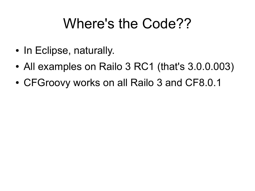### Where's the Code??

- In Eclipse, naturally.
- All examples on Railo 3 RC1 (that's 3.0.0.003)
- CFGroovy works on all Railo 3 and CF8.0.1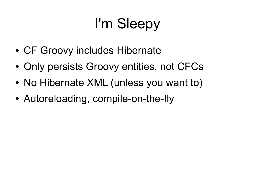# I'm Sleepy

- CF Groovy includes Hibernate
- Only persists Groovy entities, not CFCs
- No Hibernate XML (unless you want to)
- Autoreloading, compile-on-the-fly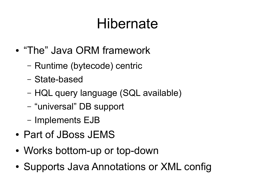### Hibernate

- "The" Java ORM framework
	- Runtime (bytecode) centric
	- State-based
	- HQL query language (SQL available)
	- "universal" DB support
	- Implements EJB
- Part of JBoss JEMS
- Works bottom-up or top-down
- Supports Java Annotations or XML config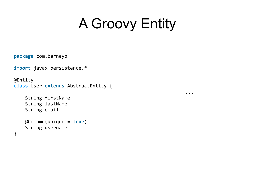## A Groovy Entity

...

**package** com.barneyb

**import** javax.persistence.\*

```
@Entity
class User extends AbstractEntity {
```
 String firstName String lastName String email

}

```
 @Column(unique = true)
 String username
```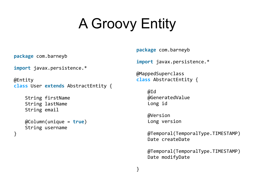# A Groovy Entity

**package** com.barneyb

**import** javax.persistence.\*

```
@Entity
class User extends AbstractEntity {
```

```
 String firstName
 String lastName
 String email
```
}

```
 @Column(unique = true)
 String username
```
**package** com.barneyb

**import** javax.persistence.\*

@MappedSuperclass **class** AbstractEntity {

> @Id @GeneratedValue Long id

 @Version Long version

}

 @Temporal(TemporalType.TIMESTAMP) Date createDate

 @Temporal(TemporalType.TIMESTAMP) Date modifyDate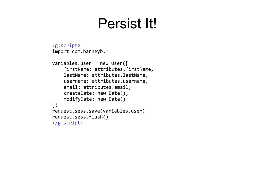### Persist It!

```
<g:script>
import com.barneyb.*
variables.user = new User([
    firstName: attributes.firstName,
    lastName: attributes.lastName,
    username: attributes.username,
    email: attributes.email,
    createDate: new Date(),
    modifyDate: new Date()
])
request.sess.save(variables.user)
request.sess.flush()
</g:script>
```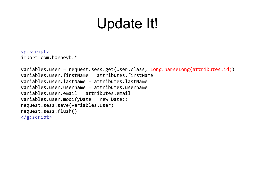### Update It!

```
<g:script>
import com.barneyb.*
```

```
variables.user = request.sess.get(User.class, Long.parseLong(attributes.id))
variables.user.firstName = attributes.firstName
variables.user.lastName = attributes.lastName
variables.user.username = attributes.username
variables.user.email = attributes.email
variables.user.modifyDate = new Date()
request.sess.save(variables.user)
request.sess.flush()
</g:script>
```